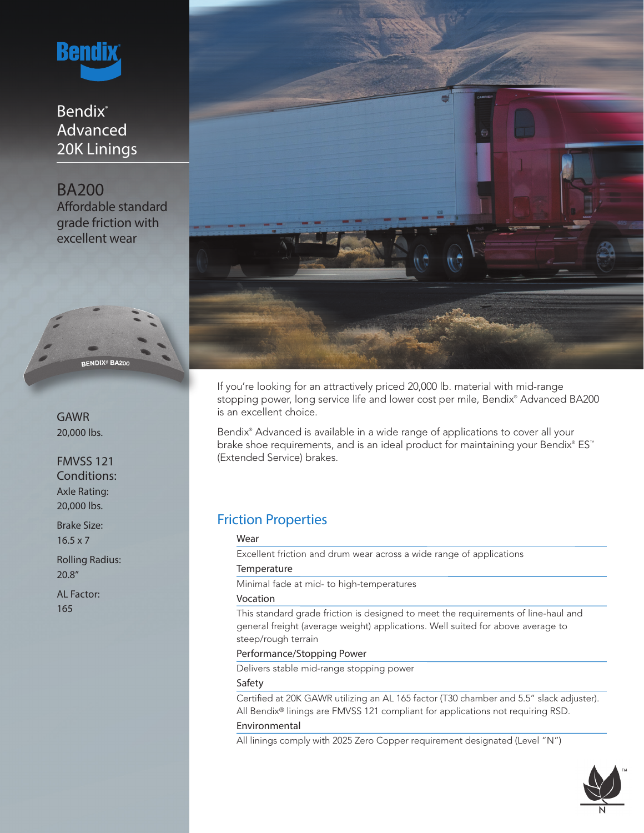

Bendix<sup>®</sup> Advanced 20K Linings

BA200 Affordable standard grade friction with excellent wear

**ENDIX® BA200** 



FMVSS 121 Conditions: Axle Rating: 20,000 lbs.

Brake Size: 16.5 x 7

Rolling Radius: 20.8"

AL Factor: 165



If you're looking for an attractively priced 20,000 lb. material with mid-range stopping power, long service life and lower cost per mile, Bendix® Advanced BA200 is an excellent choice.

Bendix® Advanced is available in a wide range of applications to cover all your brake shoe requirements, and is an ideal product for maintaining your Bendix® ES™ (Extended Service) brakes.

# Friction Properties

### Wear

Excellent friction and drum wear across a wide range of applications **Temperature** 

Minimal fade at mid- to high-temperatures

### Vocation

This standard grade friction is designed to meet the requirements of line-haul and general freight (average weight) applications. Well suited for above average to steep/rough terrain

### Performance/Stopping Power

Delivers stable mid-range stopping power

### Safety

Certified at 20K GAWR utilizing an AL 165 factor (T30 chamber and 5.5" slack adjuster). All Bendix® linings are FMVSS 121 compliant for applications not requiring RSD. Environmental

All linings comply with 2025 Zero Copper requirement designated (Level "N")